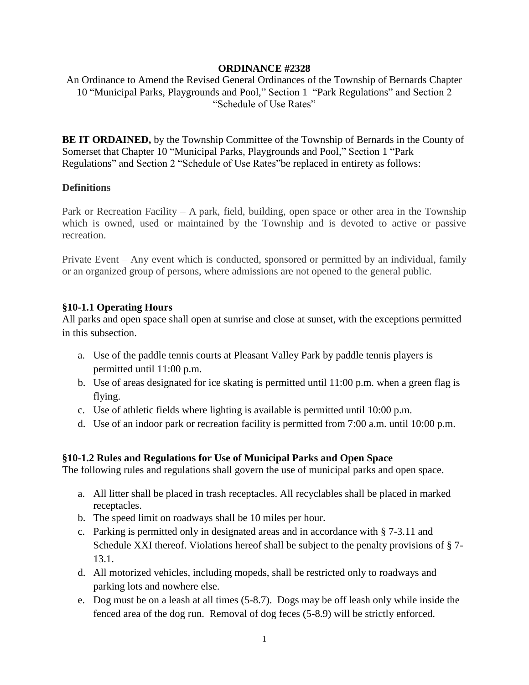#### **ORDINANCE #2328**

An Ordinance to Amend the Revised General Ordinances of the Township of Bernards Chapter 10 "Municipal Parks, Playgrounds and Pool," Section 1 "Park Regulations" and Section 2 "Schedule of Use Rates"

**BE IT ORDAINED,** by the Township Committee of the Township of Bernards in the County of Somerset that Chapter 10 "Municipal Parks, Playgrounds and Pool," Section 1 "Park Regulations" and Section 2 "Schedule of Use Rates"be replaced in entirety as follows:

#### **Definitions**

Park or Recreation Facility – A park, field, building, open space or other area in the Township which is owned, used or maintained by the Township and is devoted to active or passive recreation.

Private Event – Any event which is conducted, sponsored or permitted by an individual, family or an organized group of persons, where admissions are not opened to the general public.

### **§10-1.1 Operating Hours**

All parks and open space shall open at sunrise and close at sunset, with the exceptions permitted in this subsection.

- a. Use of the paddle tennis courts at Pleasant Valley Park by paddle tennis players is permitted until 11:00 p.m.
- b. Use of areas designated for ice skating is permitted until 11:00 p.m. when a green flag is flying.
- c. Use of athletic fields where lighting is available is permitted until  $10:00$  p.m.
- d. Use of an indoor park or recreation facility is permitted from 7:00 a.m. until 10:00 p.m.

## **§10-1.2 Rules and Regulations for Use of Municipal Parks and Open Space**

The following rules and regulations shall govern the use of municipal parks and open space.

- a. All litter shall be placed in trash receptacles. All recyclables shall be placed in marked receptacles.
- b. The speed limit on roadways shall be 10 miles per hour.
- c. Parking is permitted only in designated areas and in accordance with § 7-3.11 and Schedule XXI thereof. Violations hereof shall be subject to the penalty provisions of § 7- 13.1.
- d. All motorized vehicles, including mopeds, shall be restricted only to roadways and parking lots and nowhere else.
- e. Dog must be on a leash at all times (5-8.7). Dogs may be off leash only while inside the fenced area of the dog run. Removal of dog feces (5-8.9) will be strictly enforced.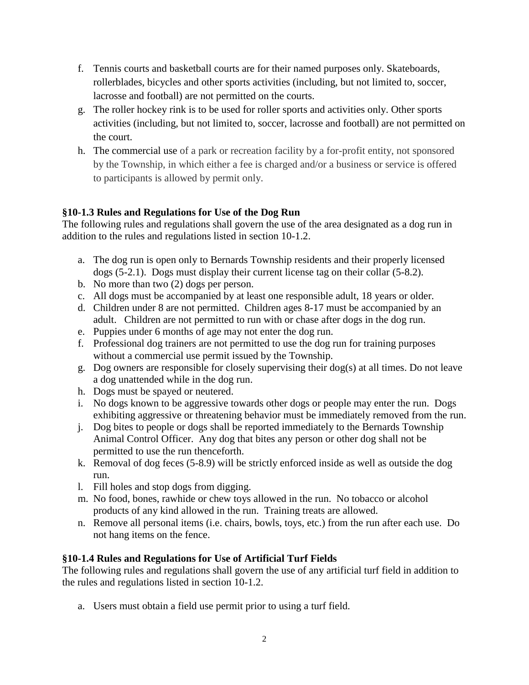- f. Tennis courts and basketball courts are for their named purposes only. Skateboards, rollerblades, bicycles and other sports activities (including, but not limited to, soccer, lacrosse and football) are not permitted on the courts.
- g. The roller hockey rink is to be used for roller sports and activities only. Other sports activities (including, but not limited to, soccer, lacrosse and football) are not permitted on the court.
- h. The commercial use of a park or recreation facility by a for-profit entity, not sponsored by the Township, in which either a fee is charged and/or a business or service is offered to participants is allowed by permit only.

# **§10-1.3 Rules and Regulations for Use of the Dog Run**

The following rules and regulations shall govern the use of the area designated as a dog run in addition to the rules and regulations listed in section 10-1.2.

- a. The dog run is open only to Bernards Township residents and their properly licensed dogs (5-2.1). Dogs must display their current license tag on their collar (5-8.2).
- b. No more than two (2) dogs per person.
- c. All dogs must be accompanied by at least one responsible adult, 18 years or older.
- d. Children under 8 are not permitted. Children ages 8-17 must be accompanied by an adult. Children are not permitted to run with or chase after dogs in the dog run.
- e. Puppies under 6 months of age may not enter the dog run.
- f. Professional dog trainers are not permitted to use the dog run for training purposes without a commercial use permit issued by the Township.
- g. Dog owners are responsible for closely supervising their dog(s) at all times. Do not leave a dog unattended while in the dog run.
- h. Dogs must be spayed or neutered.
- i. No dogs known to be aggressive towards other dogs or people may enter the run. Dogs exhibiting aggressive or threatening behavior must be immediately removed from the run.
- j. Dog bites to people or dogs shall be reported immediately to the Bernards Township Animal Control Officer. Any dog that bites any person or other dog shall not be permitted to use the run thenceforth.
- k. Removal of dog feces (5-8.9) will be strictly enforced inside as well as outside the dog run.
- l. Fill holes and stop dogs from digging.
- m. No food, bones, rawhide or chew toys allowed in the run. No tobacco or alcohol products of any kind allowed in the run. Training treats are allowed.
- n. Remove all personal items (i.e. chairs, bowls, toys, etc.) from the run after each use. Do not hang items on the fence.

# **§10-1.4 Rules and Regulations for Use of Artificial Turf Fields**

The following rules and regulations shall govern the use of any artificial turf field in addition to the rules and regulations listed in section 10-1.2.

a. Users must obtain a field use permit prior to using a turf field.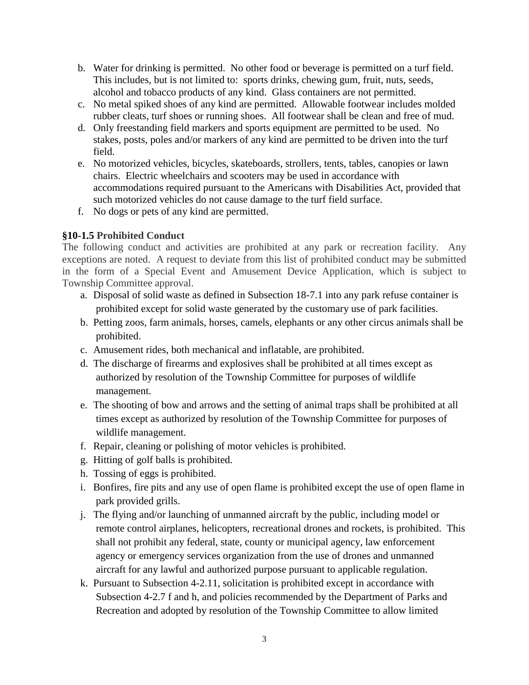- b. Water for drinking is permitted. No other food or beverage is permitted on a turf field. This includes, but is not limited to: sports drinks, chewing gum, fruit, nuts, seeds, alcohol and tobacco products of any kind. Glass containers are not permitted.
- c. No metal spiked shoes of any kind are permitted. Allowable footwear includes molded rubber cleats, turf shoes or running shoes. All footwear shall be clean and free of mud.
- d. Only freestanding field markers and sports equipment are permitted to be used. No stakes, posts, poles and/or markers of any kind are permitted to be driven into the turf field.
- e. No motorized vehicles, bicycles, skateboards, strollers, tents, tables, canopies or lawn chairs. Electric wheelchairs and scooters may be used in accordance with accommodations required pursuant to the Americans with Disabilities Act, provided that such motorized vehicles do not cause damage to the turf field surface.
- f. No dogs or pets of any kind are permitted.

# **§10-1.5 Prohibited Conduct**

The following conduct and activities are prohibited at any park or recreation facility. Any exceptions are noted. A request to deviate from this list of prohibited conduct may be submitted in the form of a Special Event and Amusement Device Application, which is subject to Township Committee approval.

- a. Disposal of solid waste as defined in Subsection 18-7.1 into any park refuse container is prohibited except for solid waste generated by the customary use of park facilities.
- b. Petting zoos, farm animals, horses, camels, elephants or any other circus animals shall be prohibited.
- c. Amusement rides, both mechanical and inflatable, are prohibited.
- d. The discharge of firearms and explosives shall be prohibited at all times except as authorized by resolution of the Township Committee for purposes of wildlife management.
- e. The shooting of bow and arrows and the setting of animal traps shall be prohibited at all times except as authorized by resolution of the Township Committee for purposes of wildlife management.
- f. Repair, cleaning or polishing of motor vehicles is prohibited.
- g. Hitting of golf balls is prohibited.
- h. Tossing of eggs is prohibited.
- i. Bonfires, fire pits and any use of open flame is prohibited except the use of open flame in park provided grills.
- j. The flying and/or launching of unmanned aircraft by the public, including model or remote control airplanes, helicopters, recreational drones and rockets, is prohibited. This shall not prohibit any federal, state, county or municipal agency, law enforcement agency or emergency services organization from the use of drones and unmanned aircraft for any lawful and authorized purpose pursuant to applicable regulation.
- k. Pursuant to Subsection 4-2.11, solicitation is prohibited except in accordance with Subsection 4-2.7 f and h, and policies recommended by the Department of Parks and Recreation and adopted by resolution of the Township Committee to allow limited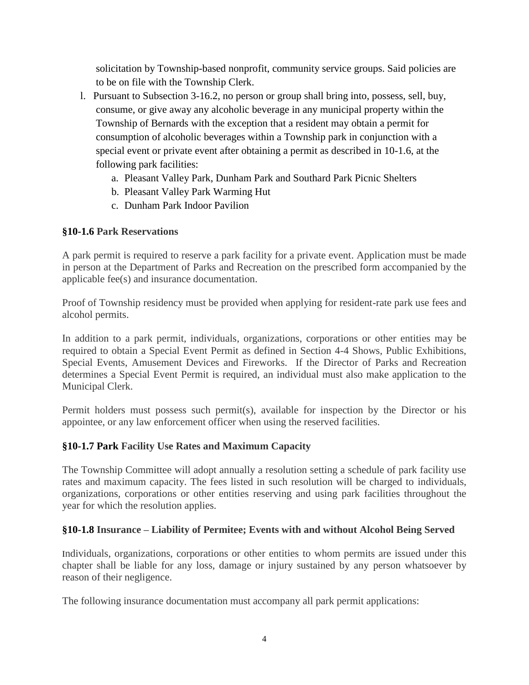solicitation by Township-based nonprofit, community service groups. Said policies are to be on file with the Township Clerk.

- l. Pursuant to Subsection 3-16.2, no person or group shall bring into, possess, sell, buy, consume, or give away any alcoholic beverage in any municipal property within the Township of Bernards with the exception that a resident may obtain a permit for consumption of alcoholic beverages within a Township park in conjunction with a special event or private event after obtaining a permit as described in 10-1.6, at the following park facilities:
	- a. Pleasant Valley Park, Dunham Park and Southard Park Picnic Shelters
	- b. Pleasant Valley Park Warming Hut
	- c. Dunham Park Indoor Pavilion

# **§10-1.6 Park Reservations**

A park permit is required to reserve a park facility for a private event. Application must be made in person at the Department of Parks and Recreation on the prescribed form accompanied by the applicable fee(s) and insurance documentation.

Proof of Township residency must be provided when applying for resident-rate park use fees and alcohol permits.

In addition to a park permit, individuals, organizations, corporations or other entities may be required to obtain a Special Event Permit as defined in Section 4-4 Shows, Public Exhibitions, Special Events, Amusement Devices and Fireworks. If the Director of Parks and Recreation determines a Special Event Permit is required, an individual must also make application to the Municipal Clerk.

Permit holders must possess such permit(s), available for inspection by the Director or his appointee, or any law enforcement officer when using the reserved facilities.

## **§10-1.7 Park Facility Use Rates and Maximum Capacity**

The Township Committee will adopt annually a resolution setting a schedule of park facility use rates and maximum capacity. The fees listed in such resolution will be charged to individuals, organizations, corporations or other entities reserving and using park facilities throughout the year for which the resolution applies.

## **§10-1.8 Insurance – Liability of Permitee; Events with and without Alcohol Being Served**

Individuals, organizations, corporations or other entities to whom permits are issued under this chapter shall be liable for any loss, damage or injury sustained by any person whatsoever by reason of their negligence.

The following insurance documentation must accompany all park permit applications: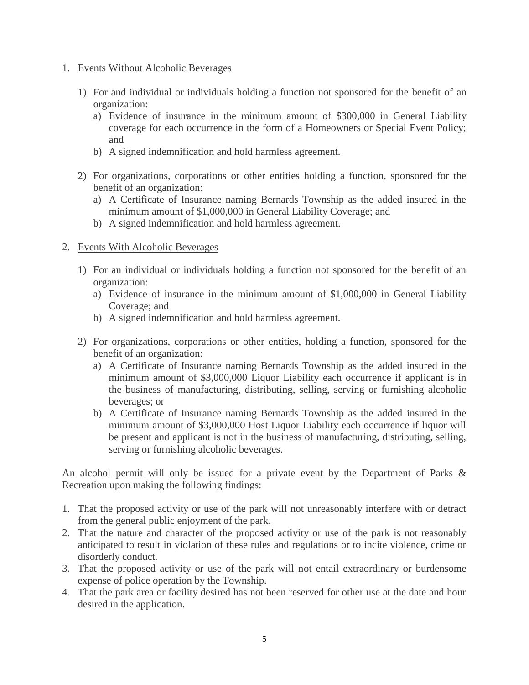- 1. Events Without Alcoholic Beverages
	- 1) For and individual or individuals holding a function not sponsored for the benefit of an organization:
		- a) Evidence of insurance in the minimum amount of \$300,000 in General Liability coverage for each occurrence in the form of a Homeowners or Special Event Policy; and
		- b) A signed indemnification and hold harmless agreement.
	- 2) For organizations, corporations or other entities holding a function, sponsored for the benefit of an organization:
		- a) A Certificate of Insurance naming Bernards Township as the added insured in the minimum amount of \$1,000,000 in General Liability Coverage; and
		- b) A signed indemnification and hold harmless agreement.

### 2. Events With Alcoholic Beverages

- 1) For an individual or individuals holding a function not sponsored for the benefit of an organization:
	- a) Evidence of insurance in the minimum amount of \$1,000,000 in General Liability Coverage; and
	- b) A signed indemnification and hold harmless agreement.
- 2) For organizations, corporations or other entities, holding a function, sponsored for the benefit of an organization:
	- a) A Certificate of Insurance naming Bernards Township as the added insured in the minimum amount of \$3,000,000 Liquor Liability each occurrence if applicant is in the business of manufacturing, distributing, selling, serving or furnishing alcoholic beverages; or
	- b) A Certificate of Insurance naming Bernards Township as the added insured in the minimum amount of \$3,000,000 Host Liquor Liability each occurrence if liquor will be present and applicant is not in the business of manufacturing, distributing, selling, serving or furnishing alcoholic beverages.

An alcohol permit will only be issued for a private event by the Department of Parks & Recreation upon making the following findings:

- 1. That the proposed activity or use of the park will not unreasonably interfere with or detract from the general public enjoyment of the park.
- 2. That the nature and character of the proposed activity or use of the park is not reasonably anticipated to result in violation of these rules and regulations or to incite violence, crime or disorderly conduct.
- 3. That the proposed activity or use of the park will not entail extraordinary or burdensome expense of police operation by the Township.
- 4. That the park area or facility desired has not been reserved for other use at the date and hour desired in the application.